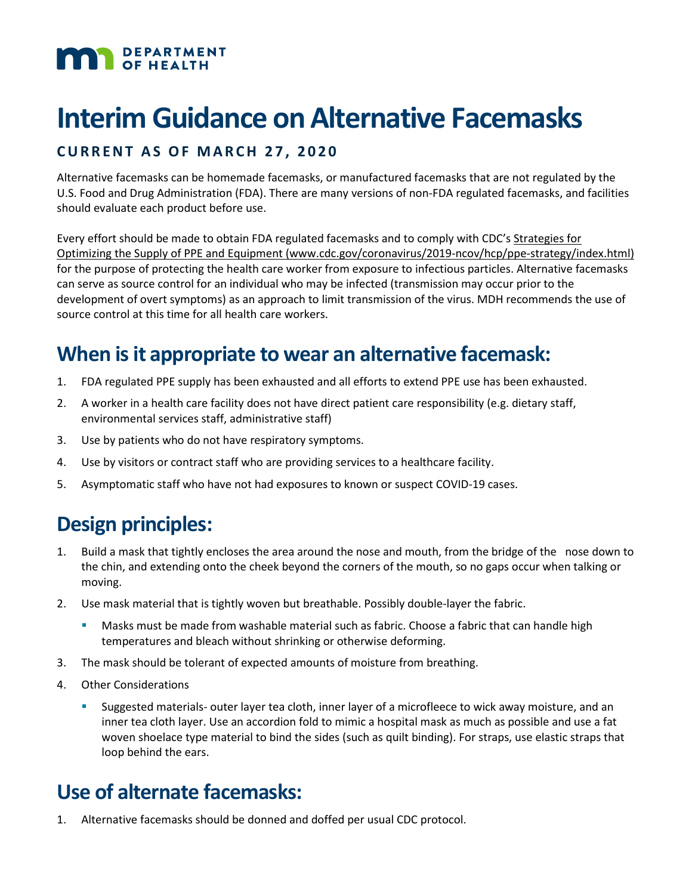# DEPARTMENT

# **Interim Guidance on Alternative Facemasks**

#### **CURRENT AS OF MARCH 2 7 , 2020**

Alternative facemasks can be homemade facemasks, or manufactured facemasks that are not regulated by the U.S. Food and Drug Administration (FDA). There are many versions of non-FDA regulated facemasks, and facilities should evaluate each product before use.

Every effort should be made to obtain FDA regulated facemasks and to comply with CDC's [Strategies for](https://www.cdc.gov/coronavirus/2019-ncov/hcp/ppe-strategy/index.html)  [Optimizing the Supply of PPE and Equipment \(www.cdc.gov/coronavirus/2019-ncov/hcp/ppe-strategy/index.html\)](https://www.cdc.gov/coronavirus/2019-ncov/hcp/ppe-strategy/index.html) for the purpose of protecting the health care worker from exposure to infectious particles. Alternative facemasks can serve as source control for an individual who may be infected (transmission may occur prior to the development of overt symptoms) as an approach to limit transmission of the virus. MDH recommends the use of source control at this time for all health care workers.

## **When is it appropriate to wear an alternative facemask:**

- 1. FDA regulated PPE supply has been exhausted and all efforts to extend PPE use has been exhausted.
- 2. A worker in a health care facility does not have direct patient care responsibility (e.g. dietary staff, environmental services staff, administrative staff)
- 3. Use by patients who do not have respiratory symptoms.
- 4. Use by visitors or contract staff who are providing services to a healthcare facility.
- 5. Asymptomatic staff who have not had exposures to known or suspect COVID-19 cases.

## **Design principles:**

- 1. Build a mask that tightly encloses the area around the nose and mouth, from the bridge of the nose down to the chin, and extending onto the cheek beyond the corners of the mouth, so no gaps occur when talking or moving.
- 2. Use mask material that is tightly woven but breathable. Possibly double-layer the fabric.
	- Masks must be made from washable material such as fabric. Choose a fabric that can handle high temperatures and bleach without shrinking or otherwise deforming.
- 3. The mask should be tolerant of expected amounts of moisture from breathing.
- 4. Other Considerations
	- Suggested materials- outer layer tea cloth, inner layer of a microfleece to wick away moisture, and an inner tea cloth layer. Use an accordion fold to mimic a hospital mask as much as possible and use a fat woven shoelace type material to bind the sides (such as quilt binding). For straps, use elastic straps that loop behind the ears.

## **Use of alternate facemasks:**

1. Alternative facemasks should be donned and doffed per usual CDC protocol.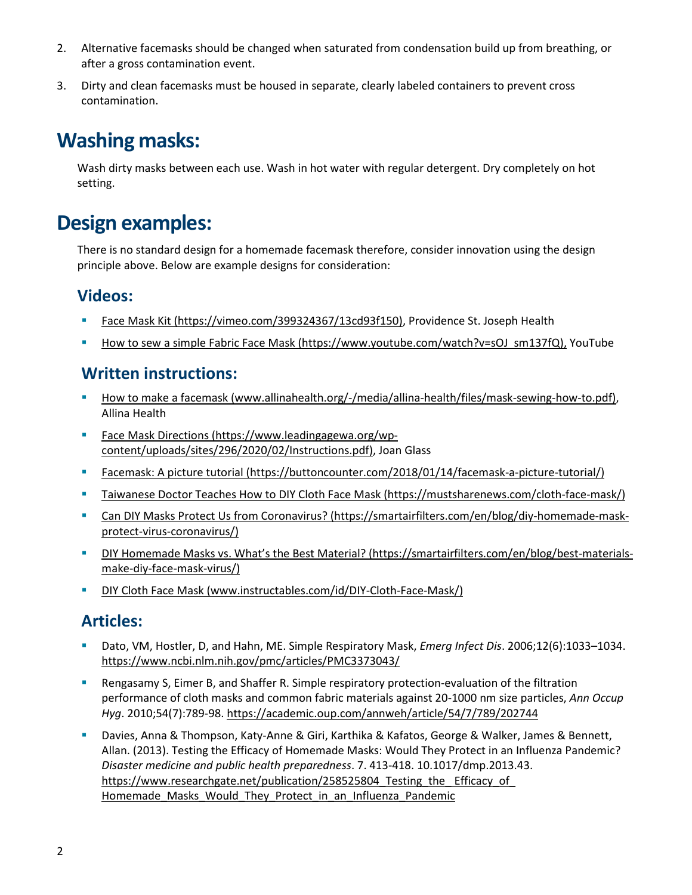- 2. Alternative facemasks should be changed when saturated from condensation build up from breathing, or after a gross contamination event.
- 3. Dirty and clean facemasks must be housed in separate, clearly labeled containers to prevent cross contamination.

## **Washing masks:**

Wash dirty masks between each use. Wash in hot water with regular detergent. Dry completely on hot setting.

## **Design examples:**

There is no standard design for a homemade facemask therefore, consider innovation using the design principle above. Below are example designs for consideration:

### **Videos:**

- [Face Mask Kit \(https://vimeo.com/399324367/13cd93f150\),](https://vimeo.com/399324367/13cd93f150) Providence St. Joseph Health
- [How to sew a simple Fabric Face Mask \(https://www.youtube.com/watch?v=sOJ\\_sm137fQ\),](https://www.youtube.com/watch?v=xN0HH2Zb2hY) YouTube

#### **Written instructions:**

- [How to make a facemask \(www.allinahealth.org/-/media/allina-health/files/mask-sewing-how-to.pdf\),](https://www.allinahealth.org/-/media/allina-health/files/mask-sewing-how-to.pdf) Allina Health
- [Face Mask Directions \(https://www.leadingagewa.org/wp](https://www.leadingagewa.org/wp-content/uploads/sites/296/2020/02/Instructions.pdf)[content/uploads/sites/296/2020/02/Instructions.pdf\),](https://www.leadingagewa.org/wp-content/uploads/sites/296/2020/02/Instructions.pdf) Joan Glass
- [Facemask: A picture tutorial \(https://buttoncounter.com/2018/01/14/facemask-a-picture-tutorial/\)](https://buttoncounter.com/2018/01/14/facemask-a-picture-tutorial/)
- [Taiwanese Doctor Teaches How to DIY Cloth Face Mask \(https://mustsharenews.com/cloth-face-mask/\)](https://mustsharenews.com/cloth-face-mask/)
- [Can DIY Masks Protect Us from Coronavirus? \(https://smartairfilters.com/en/blog/diy-homemade-mask](https://smartairfilters.com/en/blog/diy-homemade-mask-protect-virus-coronavirus/)[protect-virus-coronavirus/\)](https://smartairfilters.com/en/blog/diy-homemade-mask-protect-virus-coronavirus/)
- [DIY Homemade Masks vs. What's the Best Material? \(https://smartairfilters.com/en/blog/best-materials](https://smartairfilters.com/en/blog/best-materials-make-diy-face-mask-virus/)[make-diy-face-mask-virus/\)](https://smartairfilters.com/en/blog/best-materials-make-diy-face-mask-virus/)
- [DIY Cloth Face Mask \(www.instructables.com/id/DIY-Cloth-Face-Mask/\)](https://www.instructables.com/id/DIY-Cloth-Face-Mask/)

### **Articles:**

- Dato, VM, Hostler, D, and Hahn, ME. Simple Respiratory Mask, *Emerg Infect Dis*. 2006;12(6):1033–1034. <https://www.ncbi.nlm.nih.gov/pmc/articles/PMC3373043/>
- Rengasamy S, Eimer B, and Shaffer R. Simple respiratory protection-evaluation of the filtration performance of cloth masks and common fabric materials against 20-1000 nm size particles, *Ann Occup Hyg*. 2010;54(7):789-98.<https://academic.oup.com/annweh/article/54/7/789/202744>
- Davies, Anna & Thompson, Katy-Anne & Giri, Karthika & Kafatos, George & Walker, James & Bennett, Allan. (2013). Testing the Efficacy of Homemade Masks: Would They Protect in an Influenza Pandemic? *Disaster medicine and public health preparedness*. 7. 413-418. 10.1017/dmp.2013.43. https://www.researchgate.net/publication/258525804 Testing the Efficacy of Homemade Masks Would They Protect in an Influenza Pandemic